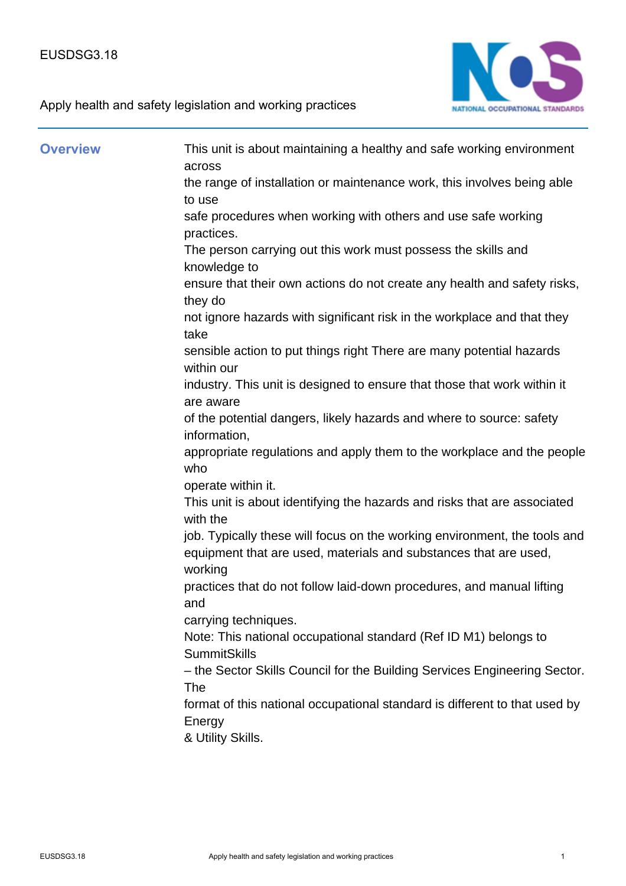

Apply health and safety legislation and working practices

| <b>Overview</b> | This unit is about maintaining a healthy and safe working environment<br>across                                                                          |
|-----------------|----------------------------------------------------------------------------------------------------------------------------------------------------------|
|                 | the range of installation or maintenance work, this involves being able<br>to use                                                                        |
|                 | safe procedures when working with others and use safe working<br>practices.                                                                              |
|                 | The person carrying out this work must possess the skills and<br>knowledge to                                                                            |
|                 | ensure that their own actions do not create any health and safety risks,<br>they do                                                                      |
|                 | not ignore hazards with significant risk in the workplace and that they<br>take                                                                          |
|                 | sensible action to put things right There are many potential hazards<br>within our                                                                       |
|                 | industry. This unit is designed to ensure that those that work within it<br>are aware                                                                    |
|                 | of the potential dangers, likely hazards and where to source: safety<br>information,                                                                     |
|                 | appropriate regulations and apply them to the workplace and the people<br>who                                                                            |
|                 | operate within it.                                                                                                                                       |
|                 | This unit is about identifying the hazards and risks that are associated<br>with the                                                                     |
|                 | job. Typically these will focus on the working environment, the tools and<br>equipment that are used, materials and substances that are used,<br>working |
|                 | practices that do not follow laid-down procedures, and manual lifting<br>and                                                                             |
|                 | carrying techniques.<br>Note: This national occupational standard (Ref ID M1) belongs to<br><b>SummitSkills</b>                                          |
|                 | - the Sector Skills Council for the Building Services Engineering Sector.<br>The                                                                         |
|                 | format of this national occupational standard is different to that used by<br>Energy                                                                     |
|                 | & Utility Skills.                                                                                                                                        |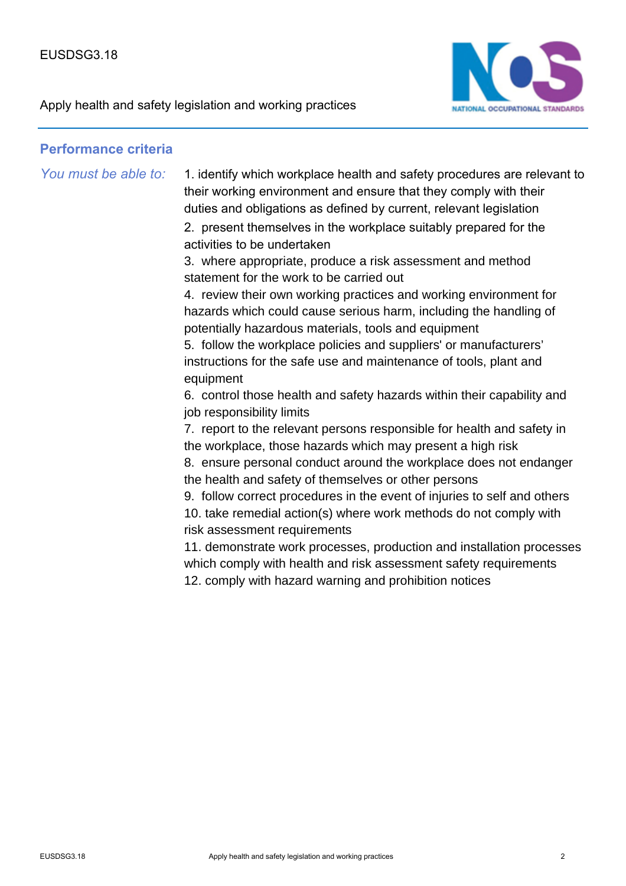

## **Performance criteria**

*You must be able to:* 1. identify which workplace health and safety procedures are relevant to their working environment and ensure that they comply with their duties and obligations as defined by current, relevant legislation

> 2. present themselves in the workplace suitably prepared for the activities to be undertaken

3. where appropriate, produce a risk assessment and method statement for the work to be carried out

4. review their own working practices and working environment for hazards which could cause serious harm, including the handling of potentially hazardous materials, tools and equipment

5. follow the workplace policies and suppliers' or manufacturers' instructions for the safe use and maintenance of tools, plant and equipment

6. control those health and safety hazards within their capability and job responsibility limits

7. report to the relevant persons responsible for health and safety in the workplace, those hazards which may present a high risk

8. ensure personal conduct around the workplace does not endanger the health and safety of themselves or other persons

9. follow correct procedures in the event of injuries to self and others 10. take remedial action(s) where work methods do not comply with risk assessment requirements

11. demonstrate work processes, production and installation processes which comply with health and risk assessment safety requirements 12. comply with hazard warning and prohibition notices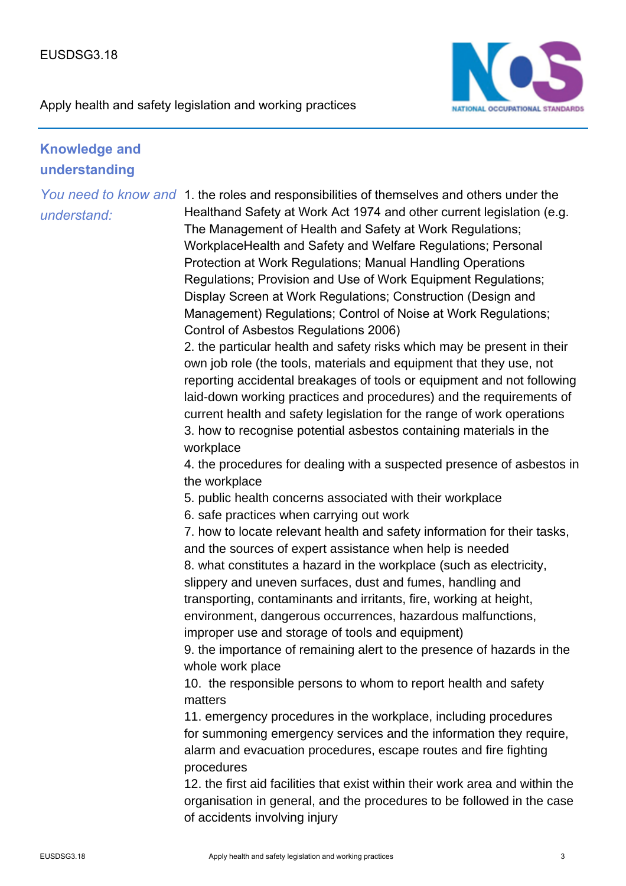

Apply health and safety legislation and working practices

## **Knowledge and understanding**

*understand:*

You need to know and 1. the roles and responsibilities of themselves and others under the Healthand Safety at Work Act 1974 and other current legislation (e.g. The Management of Health and Safety at Work Regulations; WorkplaceHealth and Safety and Welfare Regulations; Personal Protection at Work Regulations; Manual Handling Operations Regulations; Provision and Use of Work Equipment Regulations; Display Screen at Work Regulations; Construction (Design and Management) Regulations; Control of Noise at Work Regulations; Control of Asbestos Regulations 2006)

> 2. the particular health and safety risks which may be present in their own job role (the tools, materials and equipment that they use, not reporting accidental breakages of tools or equipment and not following laid-down working practices and procedures) and the requirements of current health and safety legislation for the range of work operations 3. how to recognise potential asbestos containing materials in the workplace

> 4. the procedures for dealing with a suspected presence of asbestos in the workplace

5. public health concerns associated with their workplace

6. safe practices when carrying out work

7. how to locate relevant health and safety information for their tasks, and the sources of expert assistance when help is needed

8. what constitutes a hazard in the workplace (such as electricity, slippery and uneven surfaces, dust and fumes, handling and transporting, contaminants and irritants, fire, working at height, environment, dangerous occurrences, hazardous malfunctions, improper use and storage of tools and equipment)

9. the importance of remaining alert to the presence of hazards in the whole work place

10. the responsible persons to whom to report health and safety matters

11. emergency procedures in the workplace, including procedures for summoning emergency services and the information they require, alarm and evacuation procedures, escape routes and fire fighting procedures

12. the first aid facilities that exist within their work area and within the organisation in general, and the procedures to be followed in the case of accidents involving injury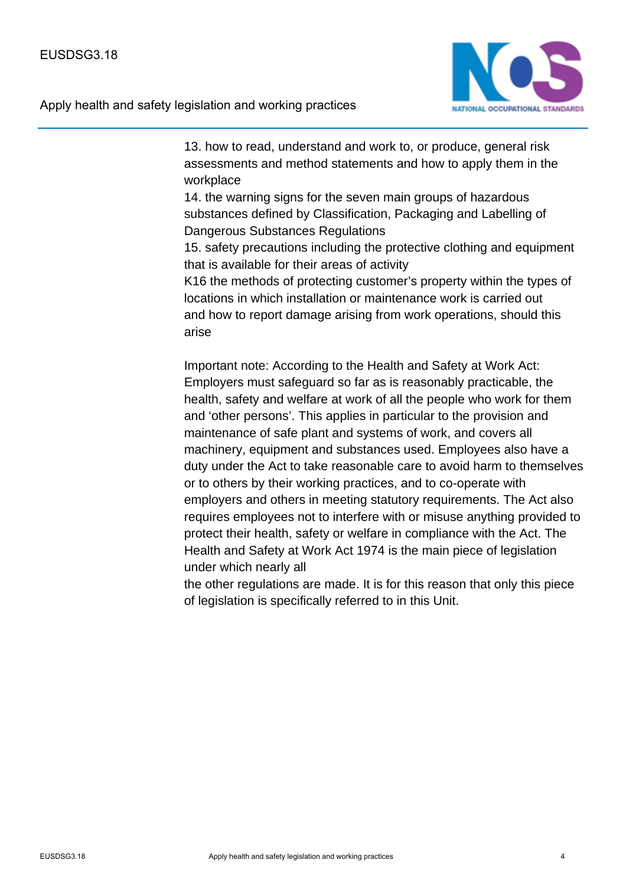

13. how to read, understand and work to, or produce, general risk assessments and method statements and how to apply them in the workplace

14. the warning signs for the seven main groups of hazardous substances defined by Classification, Packaging and Labelling of Dangerous Substances Regulations

15. safety precautions including the protective clothing and equipment that is available for their areas of activity

K16 the methods of protecting customer's property within the types of locations in which installation or maintenance work is carried out and how to report damage arising from work operations, should this arise

Important note: According to the Health and Safety at Work Act: Employers must safeguard so far as is reasonably practicable, the health, safety and welfare at work of all the people who work for them and 'other persons'. This applies in particular to the provision and maintenance of safe plant and systems of work, and covers all machinery, equipment and substances used. Employees also have a duty under the Act to take reasonable care to avoid harm to themselves or to others by their working practices, and to co-operate with employers and others in meeting statutory requirements. The Act also requires employees not to interfere with or misuse anything provided to protect their health, safety or welfare in compliance with the Act. The Health and Safety at Work Act 1974 is the main piece of legislation under which nearly all

the other regulations are made. It is for this reason that only this piece of legislation is specifically referred to in this Unit.